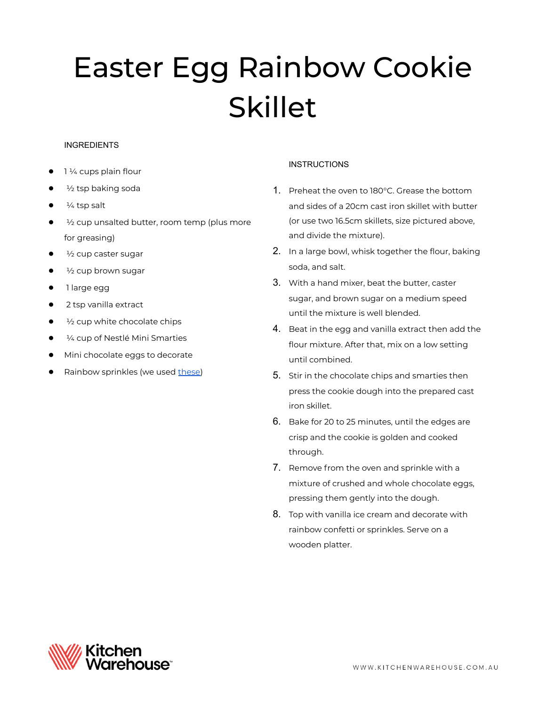# Easter Egg Rainbow Cookie Skillet

### INGREDIENTS

- 1 1/4 cups plain flour
- $\frac{1}{2}$  tsp baking soda
- $\frac{1}{4}$  tsp salt
- 1/2 cup unsalted butter, room temp (plus more for greasing)
- $\frac{1}{2}$  cup caster sugar
- $\frac{1}{2}$  cup brown sugar
- 1 large egg
- 2 tsp vanilla extract
- $\frac{1}{2}$  cup white chocolate chips
- $\frac{1}{4}$  cup of Nestlé Mini Smarties
- Mini chocolate eggs to decorate
- Rainbow sprinkles (we used [these\)](https://www.kitchenwarehouse.com.au/Over-The-Top-Jimmies-Sprinkles-Rainbow-82g)

## **INSTRUCTIONS**

- 1. Preheat the oven to 180°C. Grease the bottom and sides of a 20cm cast iron skillet with butter (or use two 16.5cm skillets, size pictured above, and divide the mixture).
- 2. In a large bowl, whisk together the flour, baking soda, and salt.
- 3. With a hand mixer, beat the butter, caster sugar, and brown sugar on a medium speed until the mixture is well blended.
- 4. Beat in the egg and vanilla extract then add the flour mixture. After that, mix on a low setting until combined.
- 5. Stir in the chocolate chips and smarties then press the cookie dough into the prepared cast iron skillet.
- 6. Bake for 20 to 25 minutes, until the edges are crisp and the cookie is golden and cooked through.
- 7. Remove from the oven and sprinkle with a mixture of crushed and whole chocolate eggs, pressing them gently into the dough.
- 8. Top with vanilla ice cream and decorate with rainbow confetti or sprinkles. Serve on a wooden platter.